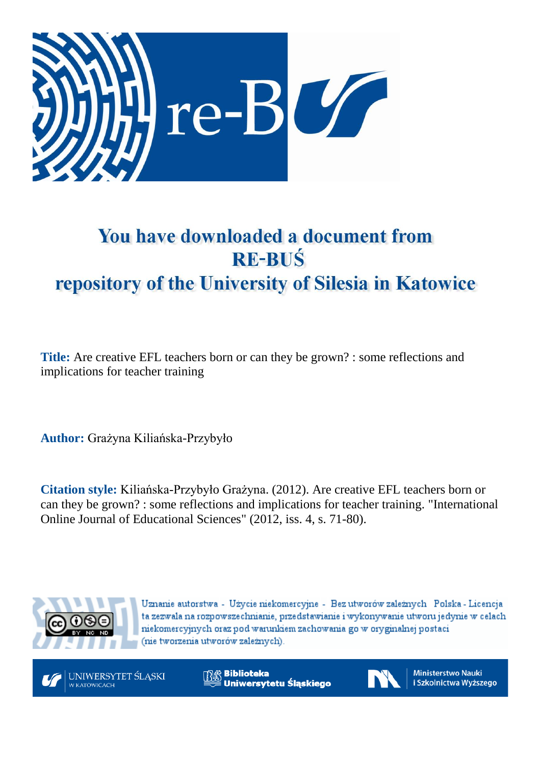

# You have downloaded a document from **RE-BUŚ** repository of the University of Silesia in Katowice

**Title:** Are creative EFL teachers born or can they be grown? : some reflections and implications for teacher training

**Author:** Grażyna Kiliańska-Przybyło

**Citation style:** Kiliańska-Przybyło Grażyna. (2012). Are creative EFL teachers born or can they be grown? : some reflections and implications for teacher training. "International Online Journal of Educational Sciences" (2012, iss. 4, s. 71-80).



Uznanie autorstwa - Użycie niekomercyjne - Bez utworów zależnych Polska - Licencja ta zezwala na rozpowszechnianie, przedstawianie i wykonywanie utworu jedynie w celach niekomercyjnych oraz pod warunkiem zachowania go w oryginalnej postaci (nie tworzenia utworów zależnych).



**Biblioteka** Uniwersytetu Śląskiego



Ministerstwo Nauki i Szkolnictwa Wyższego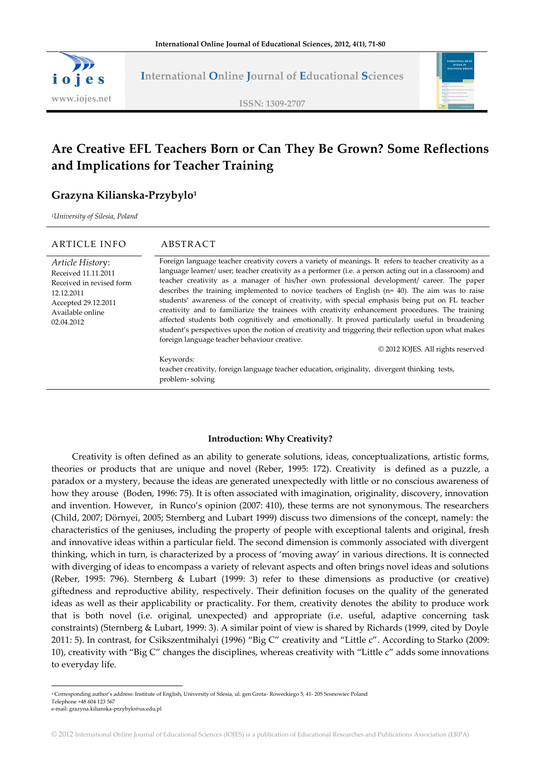

**International Online Journal of Educational Sciences**

**ISSN: 1309-2707**



## **Are Creative EFL Teachers Born or Can They Be Grown? Some Reflections and Implications for Teacher Training**

### **Grazyna Kilianska-Przybylo<sup>1</sup>**

*<sup>1</sup>University of Silesia, Poland*

#### ARTICLE INFO ABSTRACT

12.12.2011

*Article Histor*y: Received 11.11.2011 Received in revised form Accepted 29.12.2011 Available online 02.04.2012 Foreign language teacher creativity covers a variety of meanings. It refers to teacher creativity as a language learner/ user; teacher creativity as a performer (i.e. a person acting out in a classroom) and teacher creativity as a manager of his/her own professional development/ career. The paper describes the training implemented to novice teachers of English (n= 40). The aim was to raise students' awareness of the concept of creativity, with special emphasis being put on FL teacher creativity and to familiarize the trainees with creativity enhancement procedures. The training affected students both cognitively and emotionally. It proved particularly useful in broadening student's perspectives upon the notion of creativity and triggering their reflection upon what makes foreign language teacher behaviour creative. © 2012 IOJES. All rights reserved

> Keywords: teacher creativity, foreign language teacher education, originality, divergent thinking tests, problem- solving

#### **Introduction: Why Creativity?**

Creativity is often defined as an ability to generate solutions, ideas, conceptualizations, artistic forms, theories or products that are unique and novel (Reber, 1995: 172). Creativity is defined as a puzzle, a paradox or a mystery, because the ideas are generated unexpectedly with little or no conscious awareness of how they arouse (Boden, 1996: 75). It is often associated with imagination, originality, discovery, innovation and invention. However, in Runco's opinion (2007: 410), these terms are not synonymous. The researchers (Child, 2007; Dörnyei, 2005; Sternberg and Lubart 1999) discuss two dimensions of the concept, namely: the characteristics of the geniuses, including the property of people with exceptional talents and original, fresh and innovative ideas within a particular field. The second dimension is commonly associated with divergent thinking, which in turn, is characterized by a process of 'moving away' in various directions. It is connected with diverging of ideas to encompass a variety of relevant aspects and often brings novel ideas and solutions (Reber, 1995: 796). Sternberg & Lubart (1999: 3) refer to these dimensions as productive (or creative) giftedness and reproductive ability, respectively. Their definition focuses on the quality of the generated ideas as well as their applicability or practicality. For them, creativity denotes the ability to produce work that is both novel (i.e. original, unexpected) and appropriate (i.e. useful, adaptive concerning task constraints) (Sternberg & Lubart, 1999: 3). A similar point of view is shared by Richards (1999, cited by Doyle 2011: 5). In contrast, for Csikszentmihalyi (1996) 'Big C' creativity and 'Little c'. According to Starko (2009: 10), creativity with 'Big C' changes the disciplines, whereas creativity with 'Little c' adds some innovations to everyday life.

<sup>1</sup> Corresponding author's address: Institute of English, University of Silesia, ul. gen Grota- Roweckiego 5, 41- 205 Sosnowiec Poland Telephone +48 604 123 567

-

e-mail: grazyna.kilianska-przybylo@us.edu.pl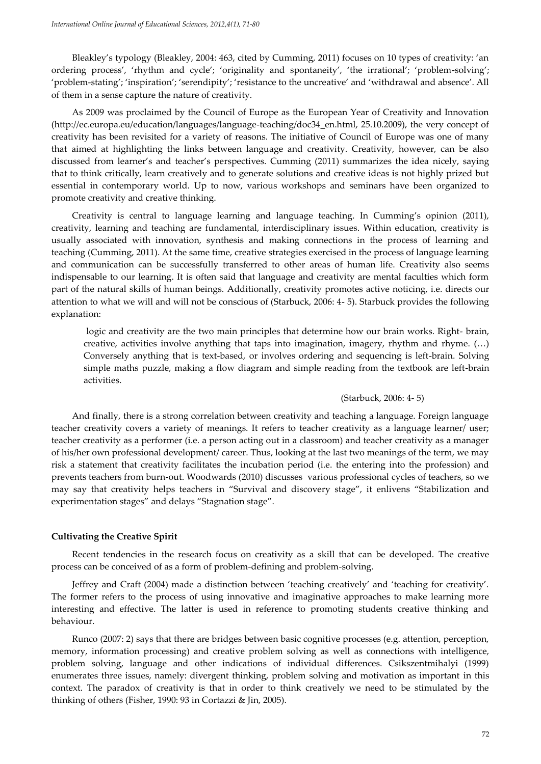Bleakley's typology (Bleakley, 2004: 463, cited by Cumming, 2011) focuses on 10 types of creativity: 'an ordering process', 'rhythm and cycle'; 'originality and spontaneity', 'the irrational'; 'problem-solving'; 'problem-stating'; 'inspiration'; 'serendipity'; 'resistance to the uncreative' and 'withdrawal and absence'. All of them in a sense capture the nature of creativity.

As 2009 was proclaimed by the Council of Europe as the European Year of Creativity and Innovation (http://ec.europa.eu/education/languages/language-teaching/doc34\_en.html, 25.10.2009), the very concept of creativity has been revisited for a variety of reasons. The initiative of Council of Europe was one of many that aimed at highlighting the links between language and creativity. Creativity, however, can be also discussed from learner's and teacher's perspectives. Cumming (2011) summarizes the idea nicely, saying that to think critically, learn creatively and to generate solutions and creative ideas is not highly prized but essential in contemporary world. Up to now, various workshops and seminars have been organized to promote creativity and creative thinking.

Creativity is central to language learning and language teaching. In Cumming's opinion (2011), creativity, learning and teaching are fundamental, interdisciplinary issues. Within education, creativity is usually associated with innovation, synthesis and making connections in the process of learning and teaching (Cumming, 2011). At the same time, creative strategies exercised in the process of language learning and communication can be successfully transferred to other areas of human life. Creativity also seems indispensable to our learning. It is often said that language and creativity are mental faculties which form part of the natural skills of human beings. Additionally, creativity promotes active noticing, i.e. directs our attention to what we will and will not be conscious of (Starbuck, 2006: 4- 5). Starbuck provides the following explanation:

logic and creativity are the two main principles that determine how our brain works. Right- brain, creative, activities involve anything that taps into imagination, imagery, rhythm and rhyme.  $(...)$ Conversely anything that is text-based, or involves ordering and sequencing is left-brain. Solving simple maths puzzle, making a flow diagram and simple reading from the textbook are left-brain activities.

#### (Starbuck, 2006: 4- 5)

And finally, there is a strong correlation between creativity and teaching a language. Foreign language teacher creativity covers a variety of meanings. It refers to teacher creativity as a language learner/ user; teacher creativity as a performer (i.e. a person acting out in a classroom) and teacher creativity as a manager of his/her own professional development/ career. Thus, looking at the last two meanings of the term, we may risk a statement that creativity facilitates the incubation period (i.e. the entering into the profession) and prevents teachers from burn-out. Woodwards (2010) discusses various professional cycles of teachers, so we may say that creativity helps teachers in "Survival and discovery stage", it enlivens "Stabilization and experimentation stages" and delays "Stagnation stage".

#### **Cultivating the Creative Spirit**

Recent tendencies in the research focus on creativity as a skill that can be developed. The creative process can be conceived of as a form of problem-defining and problem-solving.

Jeffrey and Craft (2004) made a distinction between 'teaching creatively' and 'teaching for creativity'. The former refers to the process of using innovative and imaginative approaches to make learning more interesting and effective. The latter is used in reference to promoting students creative thinking and behaviour.

Runco (2007: 2) says that there are bridges between basic cognitive processes (e.g. attention, perception, memory, information processing) and creative problem solving as well as connections with intelligence, problem solving, language and other indications of individual differences. Csikszentmihalyi (1999) enumerates three issues, namely: divergent thinking, problem solving and motivation as important in this context. The paradox of creativity is that in order to think creatively we need to be stimulated by the thinking of others (Fisher, 1990: 93 in Cortazzi & Jin, 2005).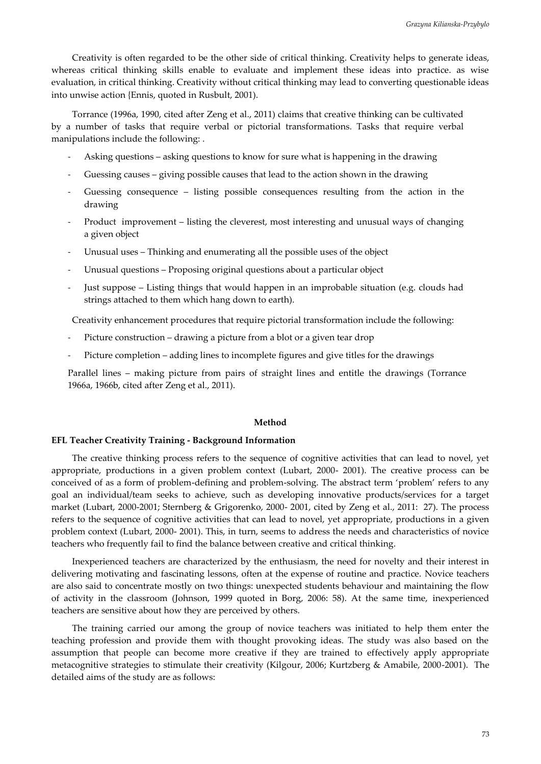Creativity is often regarded to be the other side of critical thinking. Creativity helps to generate ideas, whereas critical thinking skills enable to evaluate and implement these ideas into practice. as wise evaluation, in critical thinking. Creativity without critical thinking may lead to converting questionable ideas into unwise action {Ennis, quoted in Rusbult, 2001).

Torrance (1996a, 1990, cited after Zeng et al., 2011) claims that creative thinking can be cultivated by a number of tasks that require verbal or pictorial transformations. Tasks that require verbal manipulations include the following: .

- Asking questions asking questions to know for sure what is happening in the drawing
- Guessing causes giving possible causes that lead to the action shown in the drawing
- Guessing consequence listing possible consequences resulting from the action in the drawing
- Product improvement listing the cleverest, most interesting and unusual ways of changing a given object
- Unusual uses Thinking and enumerating all the possible uses of the object
- Unusual questions Proposing original questions about a particular object
- Just suppose Listing things that would happen in an improbable situation (e.g. clouds had strings attached to them which hang down to earth).

Creativity enhancement procedures that require pictorial transformation include the following:

- Picture construction drawing a picture from a blot or a given tear drop
- Picture completion adding lines to incomplete figures and give titles for the drawings

Parallel lines – making picture from pairs of straight lines and entitle the drawings (Torrance 1966a, 1966b, cited after Zeng et al., 2011).

#### **Method**

#### **EFL Teacher Creativity Training - Background Information**

The creative thinking process refers to the sequence of cognitive activities that can lead to novel, yet appropriate, productions in a given problem context (Lubart, 2000- 2001). The creative process can be conceived of as a form of problem-defining and problem-solving. The abstract term 'problem' refers to any goal an individual/team seeks to achieve, such as developing innovative products/services for a target market (Lubart, 2000-2001; Sternberg & Grigorenko, 2000- 2001, cited by Zeng et al., 2011: 27). The process refers to the sequence of cognitive activities that can lead to novel, yet appropriate, productions in a given problem context (Lubart, 2000- 2001). This, in turn, seems to address the needs and characteristics of novice teachers who frequently fail to find the balance between creative and critical thinking.

Inexperienced teachers are characterized by the enthusiasm, the need for novelty and their interest in delivering motivating and fascinating lessons, often at the expense of routine and practice. Novice teachers are also said to concentrate mostly on two things: unexpected students behaviour and maintaining the flow of activity in the classroom (Johnson, 1999 quoted in Borg, 2006: 58). At the same time, inexperienced teachers are sensitive about how they are perceived by others.

The training carried our among the group of novice teachers was initiated to help them enter the teaching profession and provide them with thought provoking ideas. The study was also based on the assumption that people can become more creative if they are trained to effectively apply appropriate metacognitive strategies to stimulate their creativity (Kilgour, 2006; Kurtzberg & Amabile, 2000-2001). The detailed aims of the study are as follows: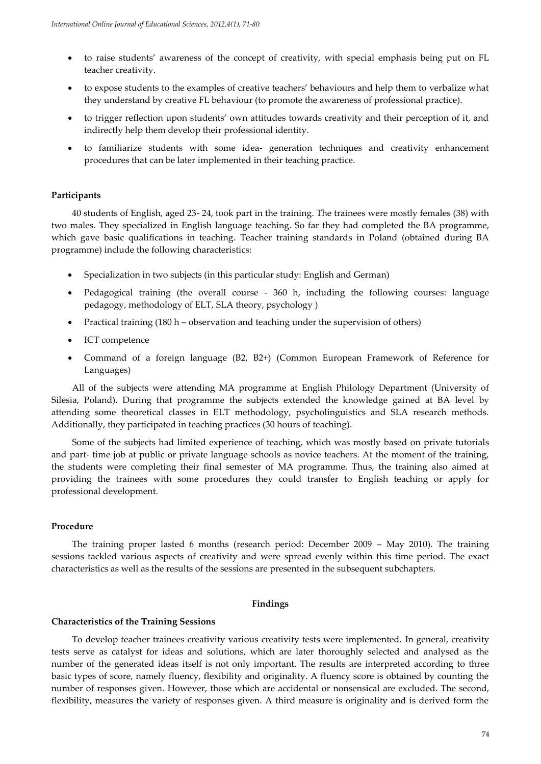- to raise students' awareness of the concept of creativity, with special emphasis being put on FL teacher creativity.
- to expose students to the examples of creative teachers' behaviours and help them to verbalize what they understand by creative FL behaviour (to promote the awareness of professional practice).
- to trigger reflection upon students' own attitudes towards creativity and their perception of it, and indirectly help them develop their professional identity.
- to familiarize students with some idea- generation techniques and creativity enhancement procedures that can be later implemented in their teaching practice.

#### **Participants**

40 students of English, aged 23- 24, took part in the training. The trainees were mostly females (38) with two males. They specialized in English language teaching. So far they had completed the BA programme, which gave basic qualifications in teaching. Teacher training standards in Poland (obtained during BA programme) include the following characteristics:

- Specialization in two subjects (in this particular study: English and German)
- Pedagogical training (the overall course 360 h, including the following courses: language pedagogy, methodology of ELT, SLA theory, psychology )
- Practical training (180 h observation and teaching under the supervision of others)
- ICT competence
- Command of a foreign language (B2, B2+) (Common European Framework of Reference for Languages)

All of the subjects were attending MA programme at English Philology Department (University of Silesia, Poland). During that programme the subjects extended the knowledge gained at BA level by attending some theoretical classes in ELT methodology, psycholinguistics and SLA research methods. Additionally, they participated in teaching practices (30 hours of teaching).

Some of the subjects had limited experience of teaching, which was mostly based on private tutorials and part- time job at public or private language schools as novice teachers. At the moment of the training, the students were completing their final semester of MA programme. Thus, the training also aimed at providing the trainees with some procedures they could transfer to English teaching or apply for professional development.

#### **Procedure**

The training proper lasted 6 months (research period: December 2009 – May 2010). The training sessions tackled various aspects of creativity and were spread evenly within this time period. The exact characteristics as well as the results of the sessions are presented in the subsequent subchapters.

#### **Findings**

#### **Characteristics of the Training Sessions**

To develop teacher trainees creativity various creativity tests were implemented. In general, creativity tests serve as catalyst for ideas and solutions, which are later thoroughly selected and analysed as the number of the generated ideas itself is not only important. The results are interpreted according to three basic types of score, namely fluency, flexibility and originality. A fluency score is obtained by counting the number of responses given. However, those which are accidental or nonsensical are excluded. The second, flexibility, measures the variety of responses given. A third measure is originality and is derived form the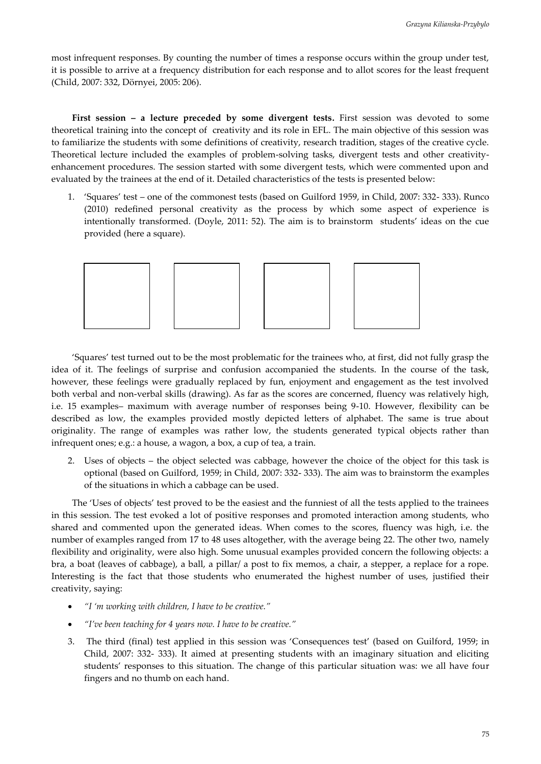most infrequent responses. By counting the number of times a response occurs within the group under test, it is possible to arrive at a frequency distribution for each response and to allot scores for the least frequent (Child, 2007: 332, Dörnyei, 2005: 206).

**First session – a lecture preceded by some divergent tests.** First session was devoted to some theoretical training into the concept of creativity and its role in EFL. The main objective of this session was to familiarize the students with some definitions of creativity, research tradition, stages of the creative cycle. Theoretical lecture included the examples of problem-solving tasks, divergent tests and other creativityenhancement procedures. The session started with some divergent tests, which were commented upon and evaluated by the trainees at the end of it. Detailed characteristics of the tests is presented below:

1. 'Squares' test – one of the commonest tests (based on Guilford 1959, in Child, 2007: 332- 333). Runco (2010) redefined personal creativity as the process by which some aspect of experience is intentionally transformed. (Doyle, 2011: 52). The aim is to brainstorm students' ideas on the cue provided (here a square).



'Squares' test turned out to be the most problematic for the trainees who, at first, did not fully grasp the idea of it. The feelings of surprise and confusion accompanied the students. In the course of the task, however, these feelings were gradually replaced by fun, enjoyment and engagement as the test involved both verbal and non-verbal skills (drawing). As far as the scores are concerned, fluency was relatively high, i.e. 15 examples– maximum with average number of responses being 9-10. However, flexibility can be described as low, the examples provided mostly depicted letters of alphabet. The same is true about originality. The range of examples was rather low, the students generated typical objects rather than infrequent ones; e.g.: a house, a wagon, a box, a cup of tea, a train.

2. Uses of objects – the object selected was cabbage, however the choice of the object for this task is optional (based on Guilford, 1959; in Child, 2007: 332- 333). The aim was to brainstorm the examples of the situations in which a cabbage can be used.

The 'Uses of objects' test proved to be the easiest and the funniest of all the tests applied to the trainees in this session. The test evoked a lot of positive responses and promoted interaction among students, who shared and commented upon the generated ideas. When comes to the scores, fluency was high, i.e. the number of examples ranged from 17 to 48 uses altogether, with the average being 22. The other two, namely flexibility and originality, were also high. Some unusual examples provided concern the following objects: a bra, a boat (leaves of cabbage), a ball, a pillar/ a post to fix memos, a chair, a stepper, a replace for a rope. Interesting is the fact that those students who enumerated the highest number of uses, justified their creativity, saying:

- *'I 'm working with children, I have to be creative.'*
- *'I've been teaching for 4 years now. I have to be creative.'*
- 3. The third (final) test applied in this session was 'Consequences test' (based on Guilford, 1959; in Child, 2007: 332- 333). It aimed at presenting students with an imaginary situation and eliciting students' responses to this situation. The change of this particular situation was: we all have four fingers and no thumb on each hand.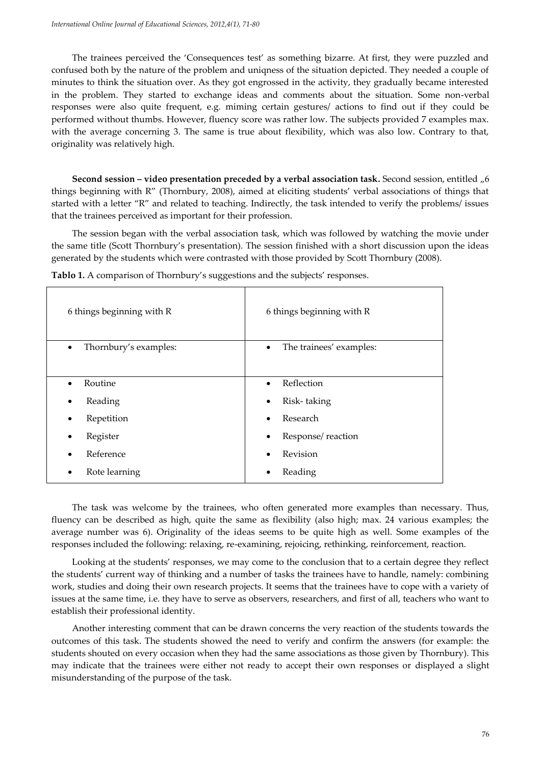The trainees perceived the 'Consequences test' as something bizarre. At first, they were puzzled and confused both by the nature of the problem and uniqness of the situation depicted. They needed a couple of minutes to think the situation over. As they got engrossed in the activity, they gradually became interested in the problem. They started to exchange ideas and comments about the situation. Some non-verbal responses were also quite frequent, e.g. miming certain gestures/ actions to find out if they could be performed without thumbs. However, fluency score was rather low. The subjects provided 7 examples max. with the average concerning 3. The same is true about flexibility, which was also low. Contrary to that, originality was relatively high.

**Second session – video presentation preceded by a verbal association task. Second session, entitled "6** things beginning with R' (Thornbury, 2008), aimed at eliciting students' verbal associations of things that started with a letter 'R' and related to teaching. Indirectly, the task intended to verify the problems/ issues that the trainees perceived as important for their profession.

The session began with the verbal association task, which was followed by watching the movie under the same title (Scott Thornbury's presentation). The session finished with a short discussion upon the ideas generated by the students which were contrasted with those provided by Scott Thornbury (2008).

| 6 things beginning with R          | 6 things beginning with R            |
|------------------------------------|--------------------------------------|
| Thornbury's examples:<br>$\bullet$ | The trainees' examples:<br>$\bullet$ |
| Routine<br>$\bullet$               | Reflection<br>$\bullet$              |
| Reading                            | Risk-taking<br>$\bullet$             |
| Repetition                         | Research<br>$\bullet$                |
| Register                           | Response/reaction<br>$\bullet$       |
| Reference                          | Revision                             |
| Rote learning                      | Reading<br>٠                         |

**Tablo 1.** A comparison of Thornbury's suggestions and the subjects' responses.

The task was welcome by the trainees, who often generated more examples than necessary. Thus, fluency can be described as high, quite the same as flexibility (also high; max. 24 various examples; the average number was 6). Originality of the ideas seems to be quite high as well. Some examples of the responses included the following: relaxing, re-examining, rejoicing, rethinking, reinforcement, reaction.

Looking at the students' responses, we may come to the conclusion that to a certain degree they reflect the students' current way of thinking and a number of tasks the trainees have to handle, namely: combining work, studies and doing their own research projects. It seems that the trainees have to cope with a variety of issues at the same time, i.e. they have to serve as observers, researchers, and first of all, teachers who want to establish their professional identity.

Another interesting comment that can be drawn concerns the very reaction of the students towards the outcomes of this task. The students showed the need to verify and confirm the answers (for example: the students shouted on every occasion when they had the same associations as those given by Thornbury). This may indicate that the trainees were either not ready to accept their own responses or displayed a slight misunderstanding of the purpose of the task.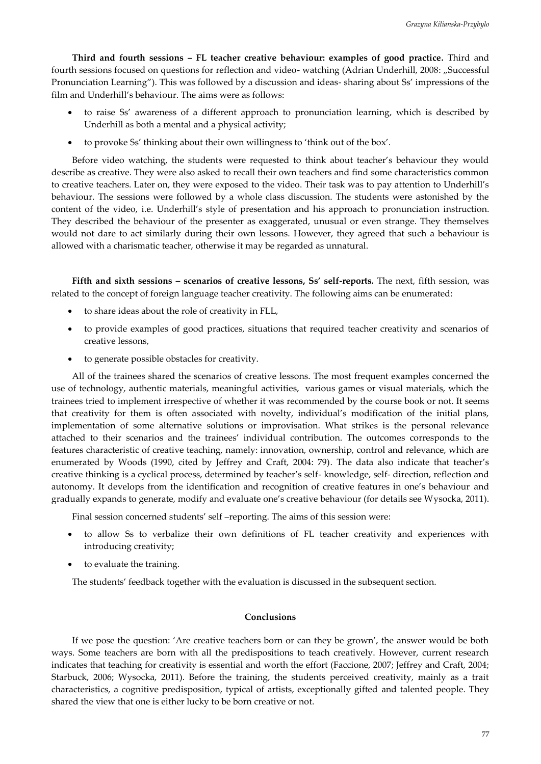**Third and fourth sessions – FL teacher creative behaviour: examples of good practice.** Third and fourth sessions focused on questions for reflection and video- watching (Adrian Underhill, 2008: "Successful Pronunciation Learning'). This was followed by a discussion and ideas- sharing about Ss' impressions of the film and Underhill's behaviour. The aims were as follows:

- to raise Ss' awareness of a different approach to pronunciation learning, which is described by Underhill as both a mental and a physical activity;
- to provoke Ss' thinking about their own willingness to 'think out of the box'.

Before video watching, the students were requested to think about teacher's behaviour they would describe as creative. They were also asked to recall their own teachers and find some characteristics common to creative teachers. Later on, they were exposed to the video. Their task was to pay attention to Underhill's behaviour. The sessions were followed by a whole class discussion. The students were astonished by the content of the video, i.e. Underhill's style of presentation and his approach to pronunciation instruction. They described the behaviour of the presenter as exaggerated, unusual or even strange. They themselves would not dare to act similarly during their own lessons. However, they agreed that such a behaviour is allowed with a charismatic teacher, otherwise it may be regarded as unnatural.

**Fifth and sixth sessions – scenarios of creative lessons, Ss' self-reports.** The next, fifth session, was related to the concept of foreign language teacher creativity. The following aims can be enumerated:

- to share ideas about the role of creativity in FLL,
- to provide examples of good practices, situations that required teacher creativity and scenarios of creative lessons,
- to generate possible obstacles for creativity.

All of the trainees shared the scenarios of creative lessons. The most frequent examples concerned the use of technology, authentic materials, meaningful activities, various games or visual materials, which the trainees tried to implement irrespective of whether it was recommended by the course book or not. It seems that creativity for them is often associated with novelty, individual's modification of the initial plans, implementation of some alternative solutions or improvisation. What strikes is the personal relevance attached to their scenarios and the trainees' individual contribution. The outcomes corresponds to the features characteristic of creative teaching, namely: innovation, ownership, control and relevance, which are enumerated by Woods (1990, cited by Jeffrey and Craft, 2004: 79). The data also indicate that teacher's creative thinking is a cyclical process, determined by teacher's self- knowledge, self- direction, reflection and autonomy. It develops from the identification and recognition of creative features in one's behaviour and gradually expands to generate, modify and evaluate one's creative behaviour (for details see Wysocka, 2011).

Final session concerned students' self –reporting. The aims of this session were:

- to allow Ss to verbalize their own definitions of FL teacher creativity and experiences with introducing creativity;
- to evaluate the training.

The students' feedback together with the evaluation is discussed in the subsequent section.

#### **Conclusions**

If we pose the question: 'Are creative teachers born or can they be grown', the answer would be both ways. Some teachers are born with all the predispositions to teach creatively. However, current research indicates that teaching for creativity is essential and worth the effort (Faccione, 2007; Jeffrey and Craft, 2004; Starbuck, 2006; Wysocka, 2011). Before the training, the students perceived creativity, mainly as a trait characteristics, a cognitive predisposition, typical of artists, exceptionally gifted and talented people. They shared the view that one is either lucky to be born creative or not.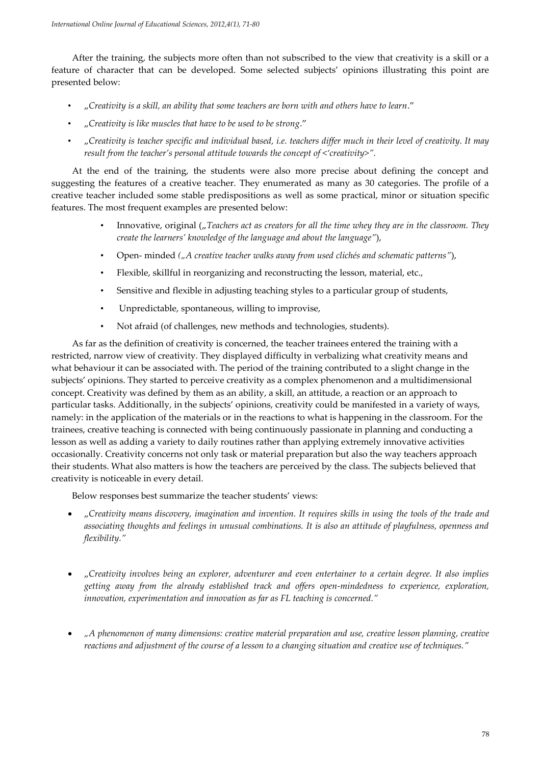After the training, the subjects more often than not subscribed to the view that creativity is a skill or a feature of character that can be developed. Some selected subjects' opinions illustrating this point are presented below:

- "*Creativity is a skill, an ability that some teachers are born with and others have to learn*.'
- "*Creativity is like muscles that have to be used to be strong*.'
- "*Creativity is teacher specific and individual based, i.e. teachers differ much in their level of creativity. It may result from the teacher's personal attitude towards the concept of <'creativity>'.*

At the end of the training, the students were also more precise about defining the concept and suggesting the features of a creative teacher. They enumerated as many as 30 categories. The profile of a creative teacher included some stable predispositions as well as some practical, minor or situation specific features. The most frequent examples are presented below:

- Innovative, original (*<sub>n</sub>* Teachers act as creators for all the time whey they are in the classroom. They *create the learners' knowledge of the language and about the language'*),
- Open- minded *("A creative teacher walks away from used clichés and schematic patterns'*),
- Flexible, skillful in reorganizing and reconstructing the lesson, material, etc.,
- Sensitive and flexible in adjusting teaching styles to a particular group of students,
- Unpredictable, spontaneous, willing to improvise,
- Not afraid (of challenges, new methods and technologies, students).

As far as the definition of creativity is concerned, the teacher trainees entered the training with a restricted, narrow view of creativity. They displayed difficulty in verbalizing what creativity means and what behaviour it can be associated with. The period of the training contributed to a slight change in the subjects' opinions. They started to perceive creativity as a complex phenomenon and a multidimensional concept. Creativity was defined by them as an ability, a skill, an attitude, a reaction or an approach to particular tasks. Additionally, in the subjects' opinions, creativity could be manifested in a variety of ways, namely: in the application of the materials or in the reactions to what is happening in the classroom. For the trainees, creative teaching is connected with being continuously passionate in planning and conducting a lesson as well as adding a variety to daily routines rather than applying extremely innovative activities occasionally. Creativity concerns not only task or material preparation but also the way teachers approach their students. What also matters is how the teachers are perceived by the class. The subjects believed that creativity is noticeable in every detail.

Below responses best summarize the teacher students' views:

- "*Creativity means discovery, imagination and invention. It requires skills in using the tools of the trade and associating thoughts and feelings in unusual combinations. It is also an attitude of playfulness, openness and flexibility.'*
- "*Creativity involves being an explorer, adventurer and even entertainer to a certain degree. It also implies getting away from the already established track and offers open-mindedness to experience, exploration, innovation, experimentation and innovation as far as FL teaching is concerned.'*
- *"A phenomenon of many dimensions: creative material preparation and use, creative lesson planning, creative reactions and adjustment of the course of a lesson to a changing situation and creative use of techniques.'*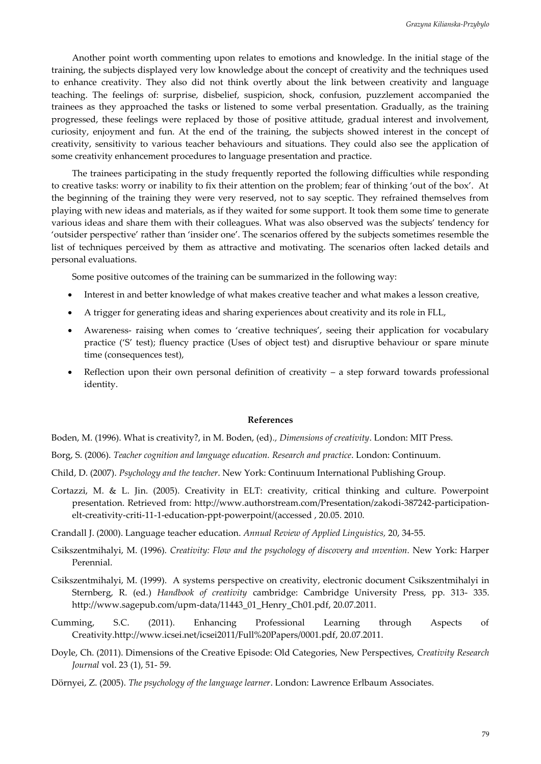Another point worth commenting upon relates to emotions and knowledge. In the initial stage of the training, the subjects displayed very low knowledge about the concept of creativity and the techniques used to enhance creativity. They also did not think overtly about the link between creativity and language teaching. The feelings of: surprise, disbelief, suspicion, shock, confusion, puzzlement accompanied the trainees as they approached the tasks or listened to some verbal presentation. Gradually, as the training progressed, these feelings were replaced by those of positive attitude, gradual interest and involvement, curiosity, enjoyment and fun. At the end of the training, the subjects showed interest in the concept of creativity, sensitivity to various teacher behaviours and situations. They could also see the application of some creativity enhancement procedures to language presentation and practice.

The trainees participating in the study frequently reported the following difficulties while responding to creative tasks: worry or inability to fix their attention on the problem; fear of thinking 'out of the box'. At the beginning of the training they were very reserved, not to say sceptic. They refrained themselves from playing with new ideas and materials, as if they waited for some support. It took them some time to generate various ideas and share them with their colleagues. What was also observed was the subjects' tendency for 'outsider perspective' rather than 'insider one'. The scenarios offered by the subjects sometimes resemble the list of techniques perceived by them as attractive and motivating. The scenarios often lacked details and personal evaluations.

Some positive outcomes of the training can be summarized in the following way:

- Interest in and better knowledge of what makes creative teacher and what makes a lesson creative,
- A trigger for generating ideas and sharing experiences about creativity and its role in FLL,
- Awareness- raising when comes to 'creative techniques', seeing their application for vocabulary practice ('S' test); fluency practice (Uses of object test) and disruptive behaviour or spare minute time (consequences test),
- Reflection upon their own personal definition of creativity a step forward towards professional identity.

#### **References**

Boden, M. (1996). What is creativity?, in M. Boden, (ed)*., Dimensions of creativity*. London: MIT Press.

- Borg, S. (2006). *Teacher cognition and language education. Research and practice*. London: Continuum.
- Child, D. (2007). *Psychology and the teacher*. New York: Continuum International Publishing Group.
- Cortazzi, M. & L. Jin. (2005). Creativity in ELT: creativity, critical thinking and culture. Powerpoint presentation. Retrieved from: http://www.authorstream.com/Presentation/zakodi-387242-participationelt-creativity-criti-11-1-education-ppt-powerpoint/(accessed , 20.05. 2010.
- Crandall J. (2000). Language teacher education. *Annual Review of Applied Linguistics,* 20, 34-55.
- Csikszentmihalyi, M. (1996). *Creativity: Flow and the psychology of discovery and ınvention.* New York: Harper Perennial.
- Csikszentmihalyi, M. (1999). A systems perspective on creativity, electronic document Csikszentmihalyi in Sternberg, R. (ed.) *Handbook of creativity* cambridge: Cambridge University Press, pp. 313- 335. http://www.sagepub.com/upm-data/11443\_01\_Henry\_Ch01.pdf, 20.07.2011.
- Cumming, S.C. (2011). Enhancing Professional Learning through Aspects of Creativity.http://www.icsei.net/icsei2011/Full%20Papers/0001.pdf, 20.07.2011.
- Doyle, Ch. (2011). Dimensions of the Creative Episode: Old Categories, New Perspectives, *Creativity Research Journal* vol. 23 (1), 51- 59.
- Dörnyei, Z. (2005). *The psychology of the language learner*. London: Lawrence Erlbaum Associates.